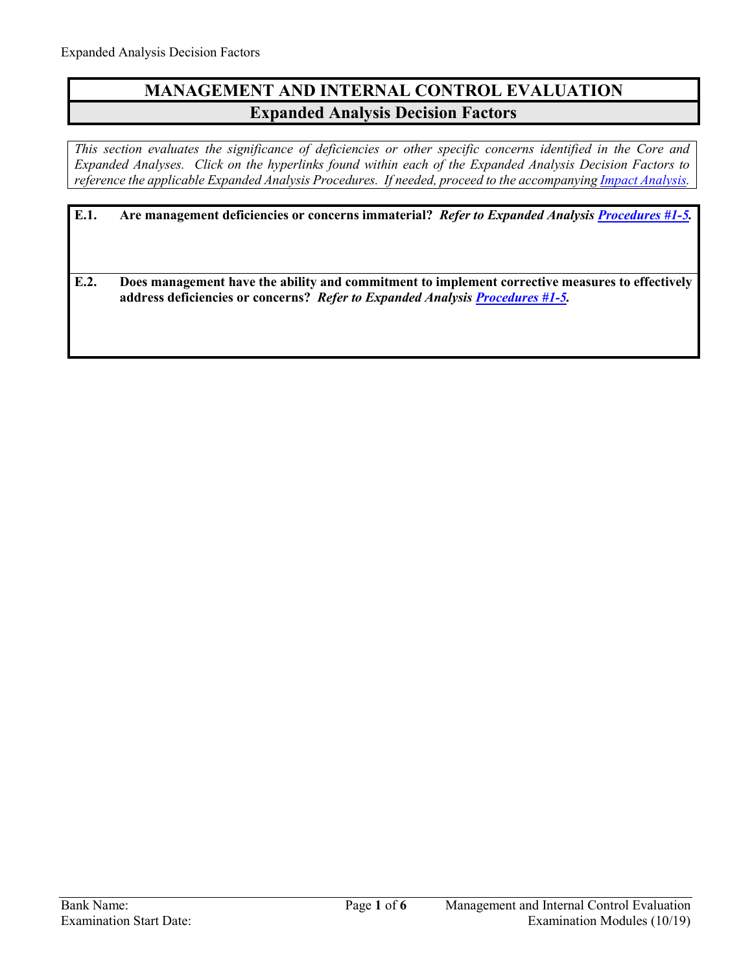## **MANAGEMENT AND INTERNAL CONTROL EVALUATION Expanded Analysis Decision Factors**

*This section evaluates the significance of deficiencies or other specific concerns identified in the Core and Expanded Analyses. Click on the hyperlinks found within each of the Expanded Analysis Decision Factors to reference the applicable Expanded Analysis Procedures. If needed, proceed to the accompanyin[g Impact Analysis.](#page-3-0)*

| E.1. | Are management deficiencies or concerns immaterial? Refer to Expanded Analysis Procedures #1-5.                                                                                  |
|------|----------------------------------------------------------------------------------------------------------------------------------------------------------------------------------|
| E.2. | Does management have the ability and commitment to implement corrective measures to effectively<br>address deficiencies or concerns? Refer to Expanded Analysis Procedures #1-5. |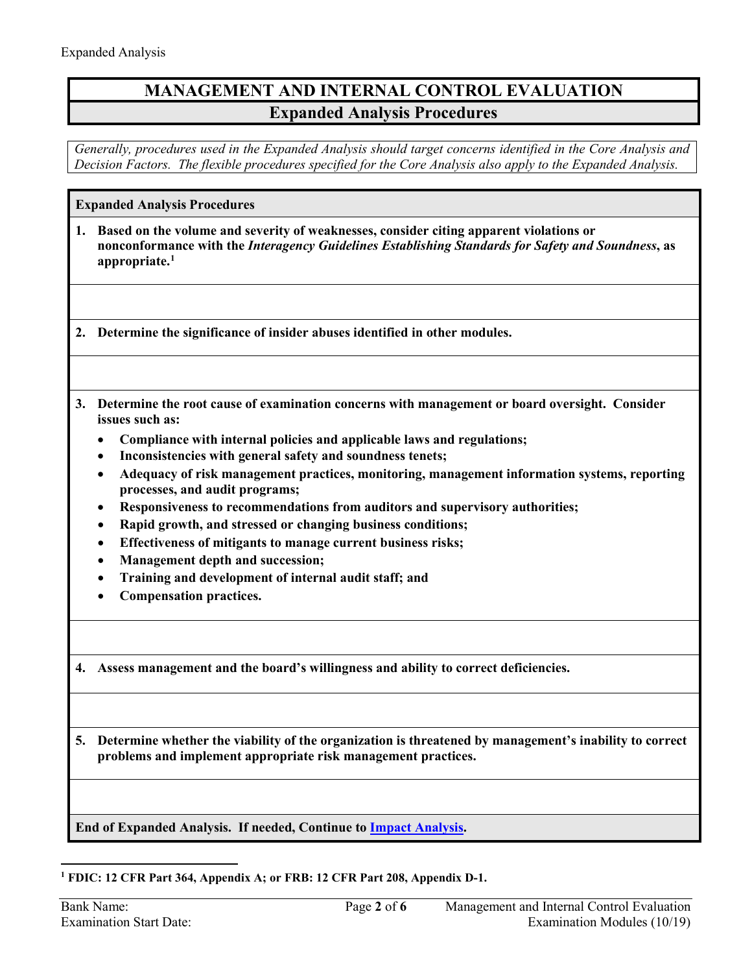# **MANAGEMENT AND INTERNAL CONTROL EVALUATION Expanded Analysis Procedures**

*Generally, procedures used in the Expanded Analysis should target concerns identified in the Core Analysis and Decision Factors. The flexible procedures specified for the Core Analysis also apply to the Expanded Analysis.* 

**Expanded Analysis Procedures**

<span id="page-1-0"></span>**1. Based on the volume and severity of weaknesses, consider citing apparent violations or nonconformance with the** *Interagency Guidelines Establishing Standards for Safety and Soundness***, as appropriate. [1](#page-1-1)**

**2. Determine the significance of insider abuses identified in other modules.** 

- **3. Determine the root cause of examination concerns with management or board oversight. Consider issues such as:** 
	- **Compliance with internal policies and applicable laws and regulations;**
	- **Inconsistencies with general safety and soundness tenets;**
	- **Adequacy of risk management practices, monitoring, management information systems, reporting processes, and audit programs;**
	- **Responsiveness to recommendations from auditors and supervisory authorities;**
	- **Rapid growth, and stressed or changing business conditions;**
	- **Effectiveness of mitigants to manage current business risks;**
	- **Management depth and succession;**
	- **Training and development of internal audit staff; and**
	- **Compensation practices.**
- **4. Assess management and the board's willingness and ability to correct deficiencies.**

**5. Determine whether the viability of the organization is threatened by management's inability to correct problems and implement appropriate risk management practices.**

**End of Expanded Analysis. If needed, Continue to [Impact Analysis.](#page-3-0)**

<span id="page-1-1"></span> $\overline{a}$ **<sup>1</sup> FDIC: 12 CFR Part 364, Appendix A; or FRB: 12 CFR Part 208, Appendix D-1.**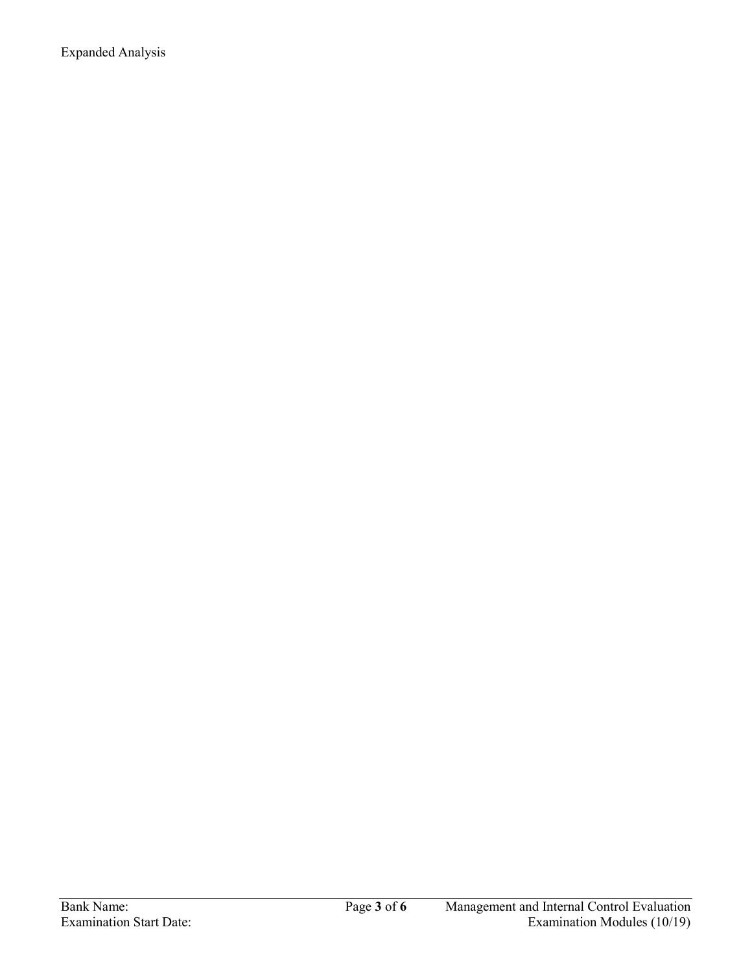Expanded Analysis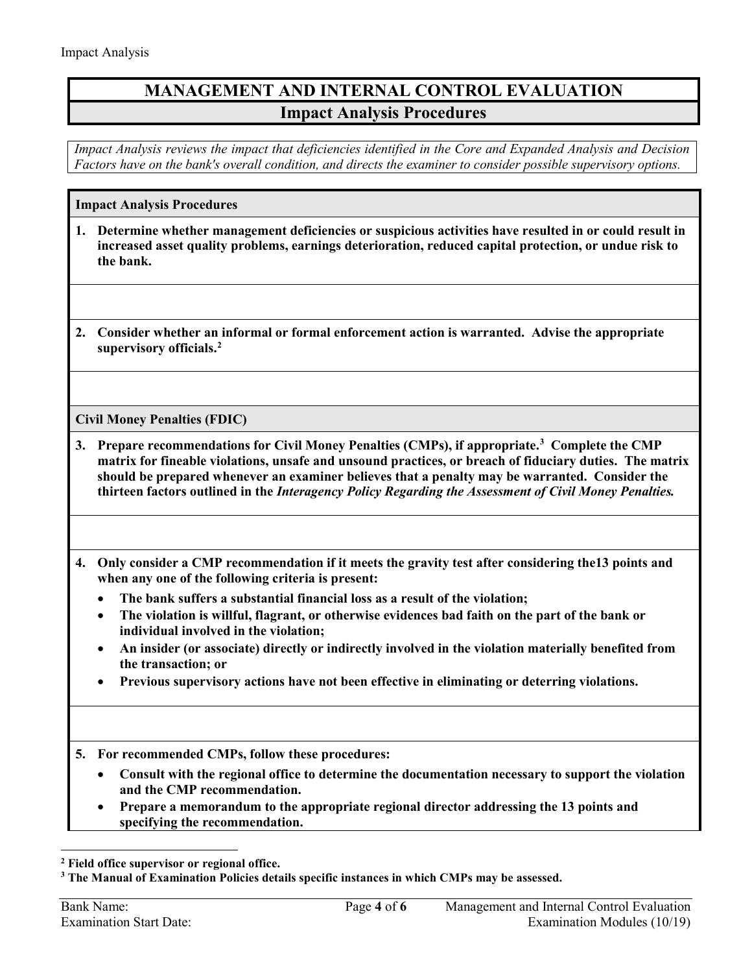# **MANAGEMENT AND INTERNAL CONTROL EVALUATION Impact Analysis Procedures**

*Impact Analysis reviews the impact that deficiencies identified in the Core and Expanded Analysis and Decision Factors have on the bank's overall condition, and directs the examiner to consider possible supervisory options.*

#### <span id="page-3-0"></span>**Impact Analysis Procedures**

- **1. Determine whether management deficiencies or suspicious activities have resulted in or could result in increased asset quality problems, earnings deterioration, reduced capital protection, or undue risk to the bank.**
- **2. Consider whether an informal or formal enforcement action is warranted. Advise the appropriate supervisory officials.[2](#page-3-1)**

**Civil Money Penalties (FDIC)**

- **3. Prepare recommendations for Civil Money Penalties (CMPs), if appropriate.[3](#page-3-2) Complete the CMP matrix for fineable violations, unsafe and unsound practices, or breach of fiduciary duties. The matrix should be prepared whenever an examiner believes that a penalty may be warranted. Consider the thirteen factors outlined in the** *Interagency Policy Regarding the Assessment of Civil Money Penalties.*
- **4. Only consider a CMP recommendation if it meets the gravity test after considering the13 points and when any one of the following criteria is present:**
	- **The bank suffers a substantial financial loss as a result of the violation;**
	- **The violation is willful, flagrant, or otherwise evidences bad faith on the part of the bank or individual involved in the violation;**
	- **An insider (or associate) directly or indirectly involved in the violation materially benefited from the transaction; or**
	- **Previous supervisory actions have not been effective in eliminating or deterring violations.**

**5. For recommended CMPs, follow these procedures:**

- **Consult with the regional office to determine the documentation necessary to support the violation and the CMP recommendation.**
- **Prepare a memorandum to the appropriate regional director addressing the 13 points and specifying the recommendation.**

 $\overline{a}$ 

<span id="page-3-1"></span>**<sup>2</sup> Field office supervisor or regional office.**

<span id="page-3-2"></span>**<sup>3</sup> The Manual of Examination Policies details specific instances in which CMPs may be assessed.**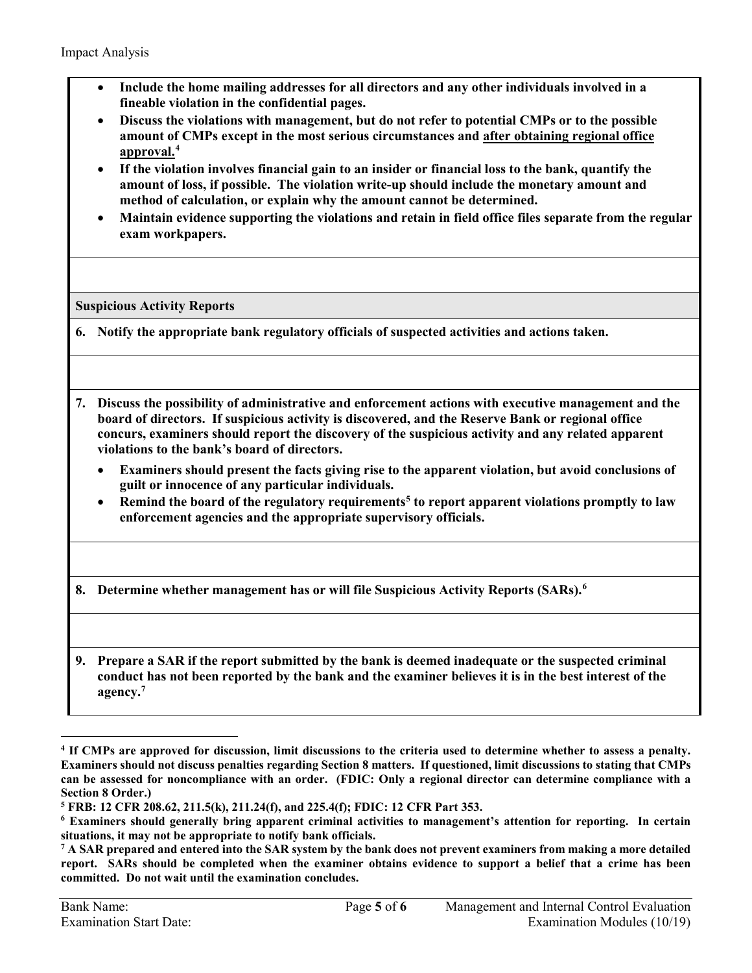- **Include the home mailing addresses for all directors and any other individuals involved in a fineable violation in the confidential pages.**
- **Discuss the violations with management, but do not refer to potential CMPs or to the possible amount of CMPs except in the most serious circumstances and after obtaining regional office approval.[4](#page-4-0)**
- **If the violation involves financial gain to an insider or financial loss to the bank, quantify the amount of loss, if possible. The violation write-up should include the monetary amount and method of calculation, or explain why the amount cannot be determined.**
- **Maintain evidence supporting the violations and retain in field office files separate from the regular exam workpapers.**

**Suspicious Activity Reports**

- **6. Notify the appropriate bank regulatory officials of suspected activities and actions taken.**
- **7. Discuss the possibility of administrative and enforcement actions with executive management and the board of directors. If suspicious activity is discovered, and the Reserve Bank or regional office concurs, examiners should report the discovery of the suspicious activity and any related apparent violations to the bank's board of directors.**
	- **Examiners should present the facts giving rise to the apparent violation, but avoid conclusions of guilt or innocence of any particular individuals.**
	- Remind the board of the regulatory requirements<sup>[5](#page-4-1)</sup> to report apparent violations promptly to law **enforcement agencies and the appropriate supervisory officials.**
- **8. Determine whether management has or will file Suspicious Activity Reports (SARs). [6](#page-4-2)**
- **9. Prepare a SAR if the report submitted by the bank is deemed inadequate or the suspected criminal conduct has not been reported by the bank and the examiner believes it is in the best interest of the agency.[7](#page-4-3)**

 $\overline{a}$ 

<span id="page-4-0"></span>**<sup>4</sup> If CMPs are approved for discussion, limit discussions to the criteria used to determine whether to assess a penalty. Examiners should not discuss penalties regarding Section 8 matters. If questioned, limit discussions to stating that CMPs can be assessed for noncompliance with an order. (FDIC: Only a regional director can determine compliance with a**  Section 8 Order.)<br><sup>5</sup> FRB: 12 CFR 208.62, 211.5(k), 211.24(f), and 225.4(f); FDIC: 12 CFR Part 353.<br><sup>6</sup> Examiners should generally bring apparent criminal activities to management's attention for reporting. In certain

<span id="page-4-2"></span><span id="page-4-1"></span>**situations, it may not be appropriate to notify bank officials.**

<span id="page-4-3"></span>**<sup>7</sup> A SAR prepared and entered into the SAR system by the bank does not prevent examiners from making a more detailed report. SARs should be completed when the examiner obtains evidence to support a belief that a crime has been committed. Do not wait until the examination concludes.**